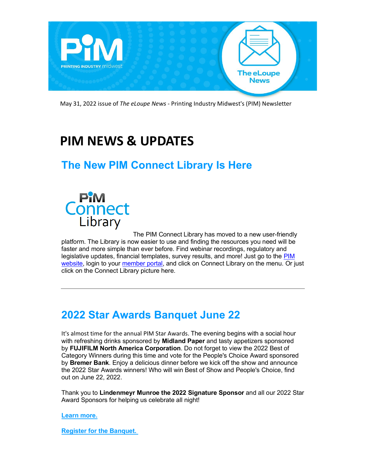

May 31, 2022 issue of *The eLoupe News* - Printing Industry Midwest's (PIM) Newsletter

# **PIM NEWS & UPDATES**

## **The New PIM Connect Library Is Here**



[T](https://api-internal.weblinkconnect.com/api/Communication/Communication/1596257/click?url=https%3a%2f%2fweb.pimw.org%2fatlas%2fportal%2fprofile&x-tenant=PrintingIndustryMidwestMNASSOC)he PIM Connect Library has moved to a new user-friendly platform. The Library is now easier to use and finding the resources you need will be faster and more simple than ever before. Find webinar recordings, regulatory and legislative updates, financial templates, survey results, and more! Just go to the PIM [website,](https://api-internal.weblinkconnect.com/api/Communication/Communication/1596257/click?url=https%3a%2f%2fwww.pimw.org%2f&x-tenant=PrintingIndustryMidwestMNASSOC) login to your [member portal,](https://api-internal.weblinkconnect.com/api/Communication/Communication/1596257/click?url=https%3a%2f%2fweb.pimw.org%2fatlas%2fportal%2fprofile&x-tenant=PrintingIndustryMidwestMNASSOC) and click on Connect Library on the menu. Or just click on the Connect Library picture here.

## **2022 Star Awards Banquet June 22**

It's almost time for the annual PIM Star Awards. The evening begins with a social hour with refreshing drinks sponsored by **Midland Paper** and tasty appetizers sponsored by **FUJIFILM North America Corporation**. Do not forget to view the 2022 Best of Category Winners during this time and vote for the People's Choice Award sponsored by **Bremer Bank**. Enjoy a delicious dinner before we kick off the show and announce the 2022 Star Awards winners! Who will win Best of Show and People's Choice, find out on June 22, 2022.

Thank you to **Lindenmeyr Munroe the 2022 Signature Sponsor** and all our 2022 Star Award Sponsors for helping us celebrate all night!

**[Learn more.](https://api-internal.weblinkconnect.com/api/Communication/Communication/1596257/click?url=https%3a%2f%2fweb.pimw.org%2fevents%2fPIM-2022-Star-Awards-Banquet-3270%2fdetails&x-tenant=PrintingIndustryMidwestMNASSOC)**

**[Register for the Banquet.](https://api-internal.weblinkconnect.com/api/Communication/Communication/1596257/click?url=https%3a%2f%2fweb.pimw.org%2fatlas%2fevents%2fpim-2022-star-awards-banquet-3270%2fregister&x-tenant=PrintingIndustryMidwestMNASSOC)**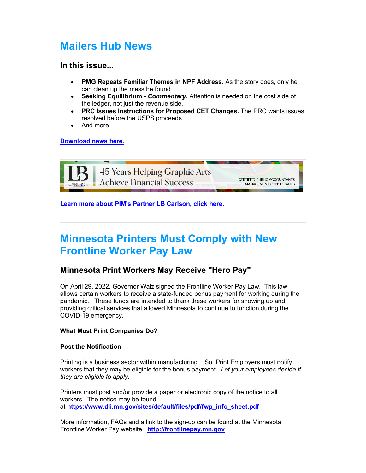### **Mailers Hub News**

#### **In this issue...**

- **PMG Repeats Familiar Themes in NPF Address.** As the story goes, only he can clean up the mess he found.
- **Seeking Equilibrium** *Commentary***.** Attention is needed on the cost side of the ledger, not just the revenue side.
- **PRC Issues Instructions for Proposed CET Changes.** The PRC wants issues resolved before the USPS proceeds.
- And more...

#### **[Download news here.](https://api-internal.weblinkconnect.com/api/Communication/Communication/1596257/click?url=https%3a%2f%2fwww.pimw.org%2fwp-content%2fuploads%2f2022%2f05%2fMHNews149-05232022.pdf&x-tenant=PrintingIndustryMidwestMNASSOC)**



**[Learn more about PIM's Partner](https://api-internal.weblinkconnect.com/api/Communication/Communication/1596257/click?url=https%3a%2f%2fwww.lbcarlson.com%2findustries%2fgraphic-arts-printing%2f&x-tenant=PrintingIndustryMidwestMNASSOC) LB Carlson, click here.**

## **Minnesota Printers Must Comply with New Frontline Worker Pay Law**

#### **Minnesota Print Workers May Receive "Hero Pay"**

On April 29, 2022, Governor Walz signed the Frontline Worker Pay Law. This law allows certain workers to receive a state-funded bonus payment for working during the pandemic. These funds are intended to thank these workers for showing up and providing critical services that allowed Minnesota to continue to function during the COVID-19 emergency.

#### **What Must Print Companies Do?**

#### **Post the Notification**

Printing is a business sector within manufacturing. So, Print Employers must notify workers that they may be eligible for the bonus payment. *Let your employees decide if they are eligible to apply.*

Printers must post and/or provide a paper or electronic copy of the notice to all workers. The notice may be found at **[https://www.dli.mn.gov/sites/default/files/pdf/fwp\\_info\\_sheet.pdf](https://api-internal.weblinkconnect.com/api/Communication/Communication/1596257/click?url=https%3a%2f%2fwww.dli.mn.gov%2fsites%2fdefault%2ffiles%2fpdf%2ffwp_info_sheet.pdf&x-tenant=PrintingIndustryMidwestMNASSOC)**

More information, FAQs and a link to the sign-up can be found at the Minnesota Frontline Worker Pay website: **[http://frontlinepay.mn.gov](https://api-internal.weblinkconnect.com/api/Communication/Communication/1596257/click?url=http%3a%2f%2ffrontlinepay.mn.gov%2f&x-tenant=PrintingIndustryMidwestMNASSOC)**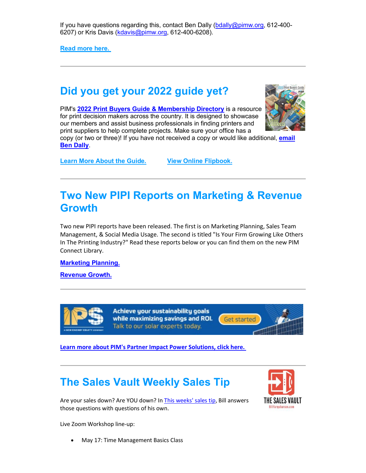If you have questions regarding this, contact Ben Dally [\(bdally@pimw.org,](https://api-internal.weblinkconnect.com/api/Communication/Communication/1596257/click?url=mailto%3abdally%40pimw.org&x-tenant=PrintingIndustryMidwestMNASSOC) 612-400- 6207) or Kris Davis [\(kdavis@pimw.org,](https://api-internal.weblinkconnect.com/api/Communication/Communication/1596257/click?url=mailto%3akdavis%40pimw.org&x-tenant=PrintingIndustryMidwestMNASSOC) 612-400-6208).

**[Read more here.](https://api-internal.weblinkconnect.com/api/Communication/Communication/1596257/click?url=https%3a%2f%2fwww.pimw.org%2fmn-printers-must-post-frontline-worker-pay-information%2f&x-tenant=PrintingIndustryMidwestMNASSOC)**

## **Did you get your 2022 guide yet?**

PIM's **[2022 Print Buyers Guide & Membership Directory](https://api-internal.weblinkconnect.com/api/Communication/Communication/1596257/click?url=https%3a%2f%2fwww.pimw.org%2fmembership%2fabout-membership%2fprint-buyers-guide%2f&x-tenant=PrintingIndustryMidwestMNASSOC)** is a resource for print decision makers across the country. It is designed to showcase our members and assist business professionals in finding printers and print suppliers to help complete projects. Make sure your office has a



copy (or two or three)! If you have not received a copy or would like additional, **[email](https://api-internal.weblinkconnect.com/api/Communication/Communication/1596257/click?url=mailto%3abdally%40pimw.org%3fsubject%3dPlease%2520send%2520a%25202022%2520guide%26body%3dHi%2520Ben%252C%250A%250A%250A&x-tenant=PrintingIndustryMidwestMNASSOC)  [Ben Dally](https://api-internal.weblinkconnect.com/api/Communication/Communication/1596257/click?url=mailto%3abdally%40pimw.org%3fsubject%3dPlease%2520send%2520a%25202022%2520guide%26body%3dHi%2520Ben%252C%250A%250A%250A&x-tenant=PrintingIndustryMidwestMNASSOC)**.

**[Learn More About the Guide.](https://api-internal.weblinkconnect.com/api/Communication/Communication/1596257/click?url=https%3a%2f%2fwww.pimw.org%2fmembership%2fabout-membership%2fprint-buyers-guide%2f&x-tenant=PrintingIndustryMidwestMNASSOC) [View Online Flipbook.](https://api-internal.weblinkconnect.com/api/Communication/Communication/1596257/click?url=https%3a%2f%2fonline.pubhtml5.com%2faity%2fnifp%2findex.html%23p%3d1&x-tenant=PrintingIndustryMidwestMNASSOC)**

## **Two New PIPI Reports on Marketing & Revenue Growth**

Two new PIPI reports have been released. The first is on Marketing Planning, Sales Team Management, & Social Media Usage. The second is titled "Is Your Firm Growing Like Others In The Printing Industry?" Read these reports below or you can find them on the new PIM Connect Library.

**[Marketing Planning.](https://api-internal.weblinkconnect.com/api/Communication/Communication/1596257/click?url=https%3a%2f%2fwww.pimw.org%2fwp-content%2fuploads%2f2022%2f05%2fApr22_PIPI_MarketingPlanSaleMGMTSocMedia-report.pdf&x-tenant=PrintingIndustryMidwestMNASSOC)**

**[Revenue Growth.](https://api-internal.weblinkconnect.com/api/Communication/Communication/1596257/click?url=https%3a%2f%2fwww.pimw.org%2fwp-content%2fuploads%2f2022%2f05%2fApr22_PIPI_RevenueGrowth-report.pdf&x-tenant=PrintingIndustryMidwestMNASSOC)**



Achieve your sustainability goals while maximizing savings and ROI. Talk to our solar experts today.



**[Learn more about PIM's Partner Impact Power Solutions, click here.](https://api-internal.weblinkconnect.com/api/Communication/Communication/1596257/click?url=https%3a%2f%2fips-solar.com%2fprint%2f%3futm_campaign%3d2022industries%26utm_medium%3demail%26utm_source%3dPIM&x-tenant=PrintingIndustryMidwestMNASSOC)**

## **The Sales Vault Weekly Sales Tip**



Are your sales down? Are YOU down? I[n This weeks' sales tip,](https://api-internal.weblinkconnect.com/api/Communication/Communication/1596257/click?url=https%3a%2f%2fsalesvault.pro%2ftip-of-the-week%2f&x-tenant=PrintingIndustryMidwestMNASSOC) Bill answers those questions with questions of his own.

Live Zoom Workshop line-up:

• May 17: Time Management Basics Class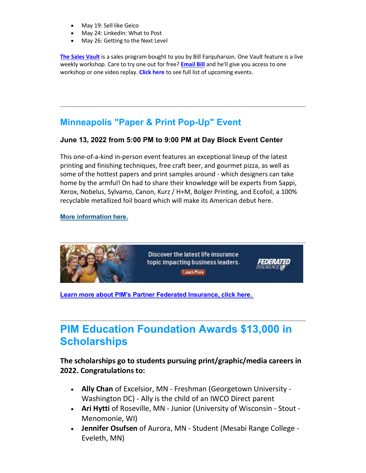- May 19: Sell like Geico
- May 24: LinkedIn: What to Post
- May 26: Getting to the Next Level

**[The Sales Vault](https://api-internal.weblinkconnect.com/api/Communication/Communication/1596257/click?url=https%3a%2f%2fsalesvault.pro%2fproduct%2fpim-insider%2f&x-tenant=PrintingIndustryMidwestMNASSOC)** is a sales program bought to you by Bill Farquharson. One Vault feature is a live weekly workshop. Care to try one out for free? **[Email Bill](https://api-internal.weblinkconnect.com/api/Communication/Communication/1596257/click?url=mailto%3abill%40salesvault.pro&x-tenant=PrintingIndustryMidwestMNASSOC)** and he'll give you access to one workshop or one video replay. **[Click here](https://api-internal.weblinkconnect.com/api/Communication/Communication/1596257/click?url=https%3a%2f%2fsalesvault.pro%2fupcoming-live-workshops%2f&x-tenant=PrintingIndustryMidwestMNASSOC)** to see full list of upcoming events.

### **Minneapolis "Paper & Print Pop-Up" Event**

#### **June 13, 2022 from 5:00 PM to 9:00 PM at Day Block Event Center**

This one-of-a-kind in-person event features an exceptional lineup of the latest printing and finishing techniques, free craft beer, and gourmet pizza, as well as some of the hottest papers and print samples around - which designers can take home by the armful! On had to share their knowledge will be experts from Sappi, Xerox, Nobelus, Sylvamo, Canon, Kurz / H+M, Bolger Printing, and Ecofoil, a 100% recyclable metallized foil board which will make its American debut here.

#### **[More information here.](https://api-internal.weblinkconnect.com/api/Communication/Communication/1596257/click?url=https%3a%2f%2fwww.pimw.org%2fwp-content%2fuploads%2f2022%2f05%2fPaperSpecs-Paper-and-Print-Pop-up-PIM.pdf&x-tenant=PrintingIndustryMidwestMNASSOC)**



**[Learn more about PIM's Partner Federated Insurance, click here.](https://api-internal.weblinkconnect.com/api/Communication/Communication/1596257/click?url=https%3a%2f%2fwww.federatedinsurance.com%2fposts%3f%26cat%3d1450714176472%26sort%3dlatest%26utm_campaign%3d2022-association-ads%26utm_source%3dfederated%26utm_medium%3dweb-ad%26utm_term%3dlife&x-tenant=PrintingIndustryMidwestMNASSOC)**

## **PIM Education Foundation Awards \$13,000 in Scholarships**

#### **The scholarships go to students pursuing print/graphic/media careers in 2022. Congratulations to:**

- **Ally Chan** of Excelsior, MN Freshman (Georgetown University Washington DC) - Ally is the child of an IWCO Direct parent
- **Ari Hytti** of Roseville, MN Junior (University of Wisconsin Stout Menomonie, WI)
- **Jennifer Osufsen** of Aurora, MN Student (Mesabi Range College Eveleth, MN)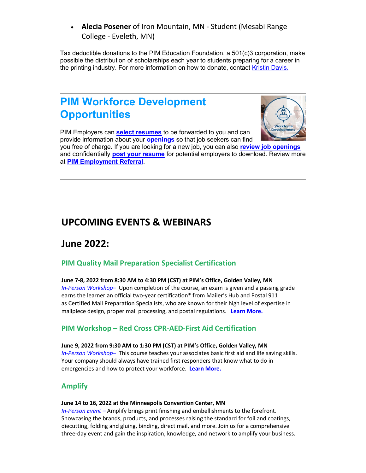• **Alecia Posener** of Iron Mountain, MN - Student (Mesabi Range College - Eveleth, MN)

Tax deductible donations to the PIM Education Foundation, a 501(c)3 corporation, make possible the distribution of scholarships each year to students preparing for a career in the printing industry. For more information on how to donate, contact [Kristin Davis.](https://api-internal.weblinkconnect.com/api/Communication/Communication/1596257/click?url=mailto%3akdavis%40pimw.org%3fsubject%3dScholarship%2520Information&x-tenant=PrintingIndustryMidwestMNASSOC)

### **PIM Workforce Development Opportunities**



PIM Employers can **[select resumes](https://api-internal.weblinkconnect.com/api/Communication/Communication/1596257/click?url=https%3a%2f%2fapi-internal.weblinkconnect.com%2fapi%2fCommunication%2fCommunication%2f1362070%2fclick%3furl%3dhttps%253a%252f%252fwww.pimw.org%252fworkforce-jobs-youth%252fsearch-resumes%252f%26x-tenant%3dPrintingIndustryMidwestMNASSOC&x-tenant=PrintingIndustryMidwestMNASSOC)** to be forwarded to you and can provide information about your **[openings](https://api-internal.weblinkconnect.com/api/Communication/Communication/1596257/click?url=https%3a%2f%2fapi-internal.weblinkconnect.com%2fapi%2fCommunication%2fCommunication%2f1362070%2fclick%3furl%3dhttps%253a%252f%252fwww.pimw.org%252fworkforce-jobs-youth%252fpost-job-opening%252f%26x-tenant%3dPrintingIndustryMidwestMNASSOC&x-tenant=PrintingIndustryMidwestMNASSOC)** so that job seekers can find

you free of charge. If you are looking for a new job, you can also **[review job openings](https://api-internal.weblinkconnect.com/api/Communication/Communication/1596257/click?url=https%3a%2f%2fapi-internal.weblinkconnect.com%2fapi%2fCommunication%2fCommunication%2f1362070%2fclick%3furl%3dhttps%253a%252f%252fwww.pimw.org%252fworkforce-jobs-youth%252fjob-postings%252f%26x-tenant%3dPrintingIndustryMidwestMNASSOC&x-tenant=PrintingIndustryMidwestMNASSOC)** and confidentially **post [your resume](https://api-internal.weblinkconnect.com/api/Communication/Communication/1596257/click?url=https%3a%2f%2fapi-internal.weblinkconnect.com%2fapi%2fCommunication%2fCommunication%2f1362070%2fclick%3furl%3dhttps%253a%252f%252fwww.pimw.org%252fworkforce-jobs-youth%252fonline-resume-submission%252f%26x-tenant%3dPrintingIndustryMidwestMNASSOC&x-tenant=PrintingIndustryMidwestMNASSOC)** for potential employers to download. Review more at **[PIM Employment Referral](https://api-internal.weblinkconnect.com/api/Communication/Communication/1596257/click?url=https%3a%2f%2fapi-internal.weblinkconnect.com%2fapi%2fCommunication%2fCommunication%2f1362070%2fclick%3furl%3dhttp%253a%252f%252fclicks.weblinkinternational.com%252fls%252fclick%253fupn%253d2vLz-2BccvG2sCqUyCoj6YZA94-2B9RuiW1CBKlHxwvNvl-2FKBJVYvwz-2BY58DYJl2TkDNsQTzNjlVsZrkpzlDS33b39R7VVWu-2FdcgZfWMTJlT7gVQZDUHyJsoe9bYhRzrUI9-2BhyK-2FCjRNrdH5-2F03jT6Q11e9zUFcgHLbFYlPGe8xmF37uV0ThSpTRsdgk-2Fel3GyGtuBOTOECaMzxe-2FJ-2Fg-2By0rIelHiMHA7NCteVML6d6Fs1qUEjyDztcWHi0FCMljOpqC7vUS_iddVEhj2EdcZE6AG5ia-2BQuGFdvjKnLzwEg3uf9LuOTa2KCqcxBCIfpZu-2F5IuibRhmrNjiibD0g4ewa7VyIM0M-2BK-2FANHSsaHb8tNBCDtOXeOe8bec-2FGU9fzSChe-2FK9caLxl0sP7TpYlwDIQpCT3S4tBGZ2oPwuwVvbjyMz3olNXm7fePO0EYpD5YYQ6ExKcUxeOF-2B8DrIVpMgQuUuguzoHg-3D-3D%26x-tenant%3dPrintingIndustryMidwestMNASSOC&x-tenant=PrintingIndustryMidwestMNASSOC)**.

### **UPCOMING EVENTS & WEBINARS**

### **June 2022:**

#### **[PIM Quality Mail Preparation Specialist Certification](https://api-internal.weblinkconnect.com/api/Communication/Communication/1596257/click?url=https%3a%2f%2fweb.pimw.org%2fevents%2fPIM-Quality-Mail-Preparation-Specialist-Certification-Program--3275%2fdetails&x-tenant=PrintingIndustryMidwestMNASSOC)**

#### **June 7-8, 2022 from 8:30 AM to 4:30 PM (CST) at PIM's Office, Golden Valley, MN**

*In-Person Workshop–* Upon completion of the course, an exam is given and a passing grade earns the learner an official two-year certification\* from Mailer's Hub and Postal 911 as Certified Mail Preparation Specialists, who are known for their high level of expertise in mailpiece design, proper mail processing, and postal regulations. **[Learn More.](https://api-internal.weblinkconnect.com/api/Communication/Communication/1596257/click?url=https%3a%2f%2fweb.pimw.org%2fevents%2fPIM-Quality-Mail-Preparation-Specialist-Certification-Program--3275%2fdetails&x-tenant=PrintingIndustryMidwestMNASSOC)**

#### **[PIM Workshop – Red Cross CPR-AED-First Aid Certification](https://api-internal.weblinkconnect.com/api/Communication/Communication/1596257/click?url=https%3a%2f%2fweb.pimw.org%2fevents%2fPIM-Workshop-Red-Cross-CPR-AED-First-Aid-Certification-June-3265%2fdetails&x-tenant=PrintingIndustryMidwestMNASSOC)**

#### **June 9, 2022 from 9:30 AM to 1:30 PM (CST) at PIM's Office, Golden Valley, MN**

*In-Person Workshop–* This course teaches your associates basic first aid and life saving skills. Your company should always have trained first responders that know what to do in emergencies and how to protect your workforce. **[Learn More.](https://api-internal.weblinkconnect.com/api/Communication/Communication/1596257/click?url=https%3a%2f%2fweb.pimw.org%2fevents%2fPIM-Workshop-Red-Cross-CPR-AED-First-Aid-Certification-June-3265%2fdetails&x-tenant=PrintingIndustryMidwestMNASSOC)**

#### **[Amplify](https://api-internal.weblinkconnect.com/api/Communication/Communication/1596257/click?url=https%3a%2f%2famplifyprint.org%2f&x-tenant=PrintingIndustryMidwestMNASSOC)**

#### **June 14 to 16, 2022 at the Minneapolis Convention Center, MN**

*In-Person Event –* Amplify brings print finishing and embellishments to the forefront. Showcasing the brands, products, and processes raising the standard for foil and coatings, diecutting, folding and gluing, binding, direct mail, and more. Join us for a comprehensive three-day event and gain the inspiration, knowledge, and network to amplify your business.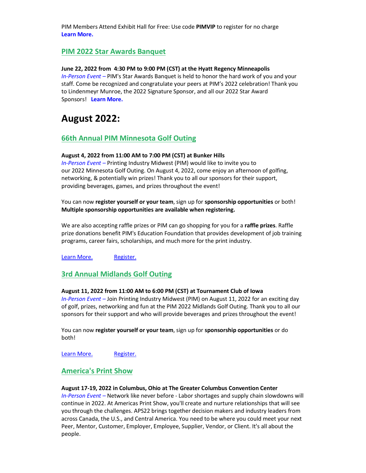PIM Members Attend Exhibit Hall for Free: Use code **PIMVIP** to register for no charge **[Learn More.](https://api-internal.weblinkconnect.com/api/Communication/Communication/1596257/click?url=https%3a%2f%2famplifyprint.org%2f&x-tenant=PrintingIndustryMidwestMNASSOC)**

#### **PIM [2022 Star Awards Banquet](https://api-internal.weblinkconnect.com/api/Communication/Communication/1596257/click?url=https%3a%2f%2fweb.pimw.org%2fevents%2fPIM-2022-Star-Awards-Banquet-3270%2fdetails&x-tenant=PrintingIndustryMidwestMNASSOC)**

#### **June 22, 2022 from 4:30 PM to 9:00 PM (CST) at the Hyatt Regency Minneapolis**

*In-Person Event –* PIM's Star Awards Banquet is held to honor the hard work of you and your staff. Come be recognized and congratulate your peers at PIM's 2022 celebration! Thank you to Lindenmeyr Munroe, the 2022 Signature Sponsor, and all our 2022 Star Award Sponsors! **[Learn More.](https://api-internal.weblinkconnect.com/api/Communication/Communication/1596257/click?url=https%3a%2f%2fweb.pimw.org%2fevents%2fPIM-2022-Star-Awards-Banquet-3270%2fdetails&x-tenant=PrintingIndustryMidwestMNASSOC)**

### **August 2022:**

#### **[66th Annual PIM Minnesota Golf Outing](https://api-internal.weblinkconnect.com/api/Communication/Communication/1596257/click?url=https%3a%2f%2fweb.pimw.org%2fevents%2fPIM-2022-Golf-Outing-Minnesota-66th-Annual--3282%2fdetails&x-tenant=PrintingIndustryMidwestMNASSOC)**

#### **August 4, 2022 from 11:00 AM to 7:00 PM (CST) at Bunker Hills**

*In-Person Event –* Printing Industry Midwest (PIM) would like to invite you to our 2022 Minnesota Golf Outing. On August 4, 2022, come enjoy an afternoon of golfing, networking, & potentially win prizes! Thank you to all our sponsors for their support, providing beverages, games, and prizes throughout the event!

You can now **register yourself or your team**, sign up for **sponsorship opportunities** or both! **Multiple sponsorship opportunities are available when registering.**

We are also accepting raffle prizes or PIM can go shopping for you for a **raffle prizes**. Raffle prize donations benefit PIM's Education Foundation that provides development of job training programs, career fairs, scholarships, and much more for the print industry.

[Learn More.](https://api-internal.weblinkconnect.com/api/Communication/Communication/1596257/click?url=https%3a%2f%2fweb.pimw.org%2fevents%2fPIM-2022-Golf-Outing-Minnesota-66th-Annual--3282%2fdetails&x-tenant=PrintingIndustryMidwestMNASSOC) [Register.](https://api-internal.weblinkconnect.com/api/Communication/Communication/1596257/click?url=https%3a%2f%2fweb.pimw.org%2fatlas%2fevents%2fpim-2022-golf-outing-minnesota-66th-annual-3282%2fregister&x-tenant=PrintingIndustryMidwestMNASSOC)

#### **[3rd Annual Midlands Golf Outing](https://api-internal.weblinkconnect.com/api/Communication/Communication/1596257/click?url=https%3a%2f%2fweb.pimw.org%2fevents%2fPIM-Golf-Outing-2022-Midlands-Third-Annual-3284%2fdetails&x-tenant=PrintingIndustryMidwestMNASSOC)**

#### **August 11, 2022 from 11:00 AM to 6:00 PM (CST) at Tournament Club of Iowa**

*In-Person Event –* Join Printing Industry Midwest (PIM) on August 11, 2022 for an exciting day of golf, prizes, networking and fun at the PIM 2022 Midlands Golf Outing. Thank you to all our sponsors for their support and who will provide beverages and prizes throughout the event!

You can now **register yourself or your team**, sign up for **sponsorship opportunities** or do both!

[Learn More.](https://api-internal.weblinkconnect.com/api/Communication/Communication/1596257/click?url=https%3a%2f%2fweb.pimw.org%2fevents%2fPIM-Golf-Outing-2022-Midlands-Third-Annual-3284%2fdetails&x-tenant=PrintingIndustryMidwestMNASSOC) [Register.](https://api-internal.weblinkconnect.com/api/Communication/Communication/1596257/click?url=https%3a%2f%2fweb.pimw.org%2fatlas%2fevents%2fpim-golf-outing-2022-midlands-third-annual-3284%2fregister&x-tenant=PrintingIndustryMidwestMNASSOC)

#### **[America's Print Show](https://api-internal.weblinkconnect.com/api/Communication/Communication/1596257/click?url=https%3a%2f%2fweb.pimw.org%2fevents%2fPIM-Golf-Outing-2022-Midlands-Third-Annual-3284%2fdetails&x-tenant=PrintingIndustryMidwestMNASSOC)**

#### **August 17-19, 2022 in Columbus, Ohio at The Greater Columbus Convention Center**

*In-Person Event –* Network like never before - Labor shortages and supply chain slowdowns will continue in 2022. At Americas Print Show, you'll create and nurture relationships that will see you through the challenges. APS22 brings together decision makers and industry leaders from across Canada, the U.S., and Central America. You need to be where you could meet your next Peer, Mentor, Customer, Employer, Employee, Supplier, Vendor, or Client. It's all about the people.